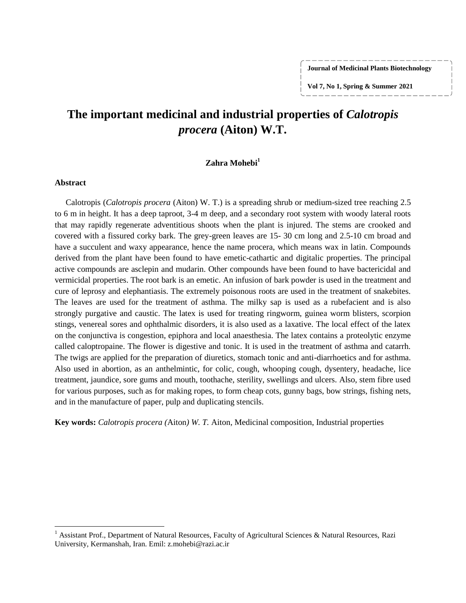**Journal of Medicinal Plants Biotechnology**

**Vol 7, No 1, Spring & Summer 2021**

# **The important medicinal and industrial properties of** *Calotropis procera* **(Aiton) W.T.**

### **Zahra Mohebi<sup>1</sup>**

#### **Abstract**

 $\overline{\phantom{a}}$ 

Calotropis (*Calotropis procera* (Aiton) W. T.) is a spreading shrub or medium-sized tree reaching 2.5 to 6 m in height. It has a deep taproot, 3-4 m deep, and a secondary root system with woody lateral roots that may rapidly regenerate adventitious shoots when the plant is injured. The stems are crooked and covered with a fissured corky bark. The grey-green leaves are 15- 30 cm long and 2.5-10 cm broad and have a succulent and waxy appearance, hence the name procera, which means wax in latin. Compounds derived from the plant have been found to have emetic-cathartic and digitalic properties. The principal active compounds are asclepin and mudarin. Other compounds have been found to have bactericidal and vermicidal properties. The root bark is an emetic. An infusion of bark powder is used in the treatment and cure of leprosy and elephantiasis. The extremely poisonous roots are used in the treatment of snakebites. The leaves are used for the treatment of asthma. The milky sap is used as a rubefacient and is also strongly purgative and caustic. The latex is used for treating ringworm, guinea worm blisters, scorpion stings, venereal sores and ophthalmic disorders, it is also used as a laxative. The local effect of the latex on the conjunctiva is congestion, epiphora and local anaesthesia. The latex contains a proteolytic enzyme called caloptropaine. The flower is digestive and tonic. It is used in the treatment of asthma and catarrh. The twigs are applied for the preparation of diuretics, stomach tonic and anti-diarrhoetics and for asthma. Also used in abortion, as an anthelmintic, for colic, cough, whooping cough, dysentery, headache, lice treatment, jaundice, sore gums and mouth, toothache, sterility, swellings and ulcers. Also, stem fibre used for various purposes, such as for making ropes, to form cheap cots, gunny bags, bow strings, fishing nets, and in the manufacture of paper, pulp and duplicating stencils.

**Key words:** *Calotropis procera (*Aiton*) W. T.* Aiton*,* Medicinal composition, Industrial properties

<sup>&</sup>lt;sup>1</sup> Assistant Prof., Department of Natural Resources, Faculty of Agricultural Sciences & Natural Resources, Razi University, Kermanshah, Iran. Emil: z.mohebi@razi.ac.ir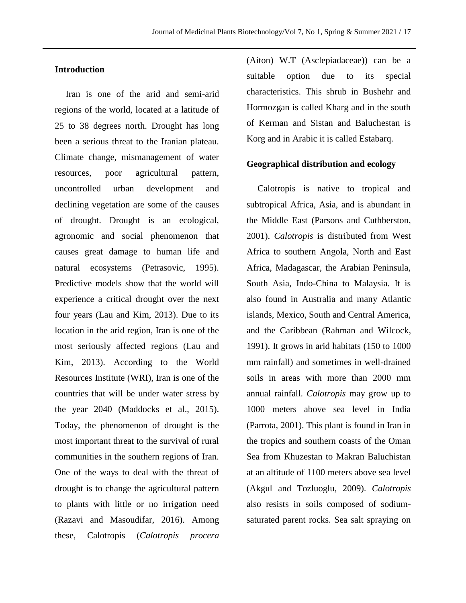### **Introduction**

Iran is one of the arid and semi-arid regions of the world, located at a latitude of 25 to 38 degrees north. Drought has long been a serious threat to the Iranian plateau. Climate change, mismanagement of water resources, poor agricultural pattern, uncontrolled urban development and declining vegetation are some of the causes of drought. Drought is an ecological, agronomic and social phenomenon that causes great damage to human life and natural ecosystems (Petrasovic, 1995). Predictive models show that the world will experience a critical drought over the next four years (Lau and Kim, 2013). Due to its location in the arid region, Iran is one of the most seriously affected regions (Lau and Kim, 2013). According to the World Resources Institute (WRI), Iran is one of the countries that will be under water stress by the year 2040 (Maddocks et al., 2015). Today, the phenomenon of drought is the most important threat to the survival of rural communities in the southern regions of Iran. One of the ways to deal with the threat of drought is to change the agricultural pattern to plants with little or no irrigation need (Razavi and Masoudifar, 2016). Among these, Calotropis (*Calotropis procera*

(Aiton) W.T (Asclepiadaceae)) can be a suitable option due to its special characteristics. This shrub in Bushehr and Hormozgan is called Kharg and in the south of Kerman and Sistan and Baluchestan is Korg and in Arabic it is called Estabarq.

### **Geographical distribution and ecology**

Calotropis is native to tropical and subtropical Africa, Asia, and is abundant in the Middle East (Parsons and Cuthberston, 2001). *Calotropis* is distributed from West Africa to southern Angola, North and East Africa, Madagascar, the Arabian Peninsula, South Asia, Indo-China to Malaysia. It is also found in Australia and many Atlantic islands, Mexico, South and Central America, and the Caribbean (Rahman and Wilcock, 1991). It grows in arid habitats (150 to 1000 mm rainfall) and sometimes in well-drained soils in areas with more than 2000 mm annual rainfall. *Calotropis* may grow up to 1000 meters above sea level in India (Parrota, 2001). This plant is found in Iran in the tropics and southern coasts of the Oman Sea from Khuzestan to Makran Baluchistan at an altitude of 1100 meters above sea level (Akgul and Tozluoglu, 2009). *Calotropis*  also resists in soils composed of sodiumsaturated parent rocks. Sea salt spraying on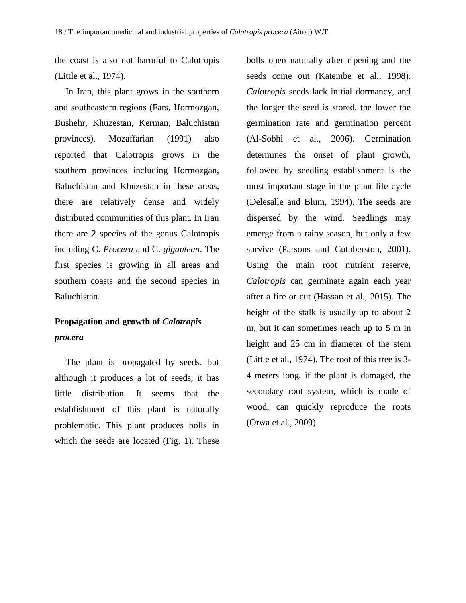the coast is also not harmful to Calotropis (Little et al., 1974).

In Iran, this plant grows in the southern and southeastern regions (Fars, Hormozgan, Bushehr, Khuzestan, Kerman, Baluchistan provinces). Mozaffarian (1991) also reported that Calotropis grows in the southern provinces including Hormozgan, Baluchistan and Khuzestan in these areas, there are relatively dense and widely distributed communities of this plant. In Iran there are 2 species of the genus Calotropis including C. *Procera* and C. *gigantean*. The first species is growing in all areas and southern coasts and the second species in Baluchistan.

# **Propagation and growth of** *Calotropis procera*

The plant is propagated by seeds, but although it produces a lot of seeds, it has little distribution. It seems that the establishment of this plant is naturally problematic. This plant produces bolls in which the seeds are located (Fig. 1). These

bolls open naturally after ripening and the seeds come out (Katembe et al., 1998). *Calotropis* seeds lack initial dormancy, and the longer the seed is stored, the lower the germination rate and germination percent (Al-Sobhi et al., 2006). Germination determines the onset of plant growth, followed by seedling establishment is the most important stage in the plant life cycle (Delesalle and Blum, 1994). The seeds are dispersed by the wind. Seedlings may emerge from a rainy season, but only a few survive (Parsons and Cuthberston, 2001). Using the main root nutrient reserve, *Calotropis* can germinate again each year after a fire or cut (Hassan et al*.*, 2015). The height of the stalk is usually up to about 2 m, but it can sometimes reach up to 5 m in height and 25 cm in diameter of the stem (Little et al., 1974). The root of this tree is 3- 4 meters long, if the plant is damaged, the secondary root system, which is made of wood, can quickly reproduce the roots (Orwa et al., 2009).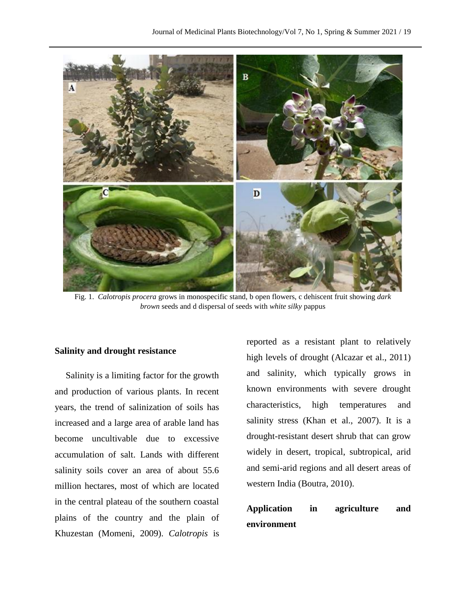

Fig. 1. *Calotropis procera* grows in monospecific stand, b open flowers, c dehiscent fruit showing *dark brown* seeds and d dispersal of seeds with *white silky* pappus

### **Salinity and drought resistance**

Salinity is a limiting factor for the growth and production of various plants. In recent years, the trend of salinization of soils has increased and a large area of arable land has become uncultivable due to excessive accumulation of salt. Lands with different salinity soils cover an area of about 55.6 million hectares, most of which are located in the central plateau of the southern coastal plains of the country and the plain of Khuzestan (Momeni, 2009). *Calotropis* is

reported as a resistant plant to relatively high levels of drought (Alcazar et al., 2011) and salinity, which typically grows in known environments with severe drought characteristics, high temperatures and salinity stress (Khan et al., 2007). It is a drought-resistant desert shrub that can grow widely in desert, tropical, subtropical, arid and semi-arid regions and all desert areas of western India (Boutra, 2010).

# **Application in agriculture and environment**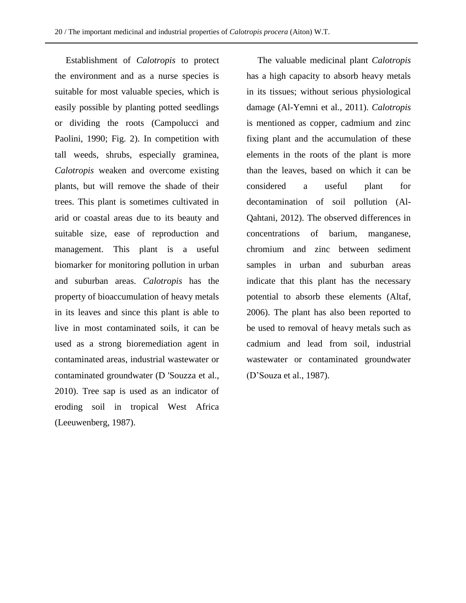Establishment of *Calotropis* to protect the environment and as a nurse species is suitable for most valuable species, which is easily possible by planting potted seedlings or dividing the roots (Campolucci and Paolini, 1990; Fig. 2). In competition with tall weeds, shrubs, especially graminea, *Calotropis* weaken and overcome existing plants, but will remove the shade of their trees. This plant is sometimes cultivated in arid or coastal areas due to its beauty and suitable size, ease of reproduction and management. This plant is a useful biomarker for monitoring pollution in urban and suburban areas. *Calotropis* has the property of bioaccumulation of heavy metals in its leaves and since this plant is able to live in most contaminated soils, it can be used as a strong bioremediation agent in contaminated areas, industrial wastewater or contaminated groundwater (D 'Souzza et al., 2010). Tree sap is used as an indicator of eroding soil in tropical West Africa (Leeuwenberg, 1987).

The valuable medicinal plant *Calotropis*  has a high capacity to absorb heavy metals in its tissues; without serious physiological damage (Al-Yemni et al., 2011). *Calotropis*  is mentioned as copper, cadmium and zinc fixing plant and the accumulation of these elements in the roots of the plant is more than the leaves, based on which it can be considered a useful plant for decontamination of soil pollution (Al-Qahtani, 2012). The observed differences in concentrations of barium, manganese, chromium and zinc between sediment samples in urban and suburban areas indicate that this plant has the necessary potential to absorb these elements (Altaf, 2006). The plant has also been reported to be used to removal of heavy metals such as cadmium and lead from soil, industrial wastewater or contaminated groundwater (D'Souza et al., 1987).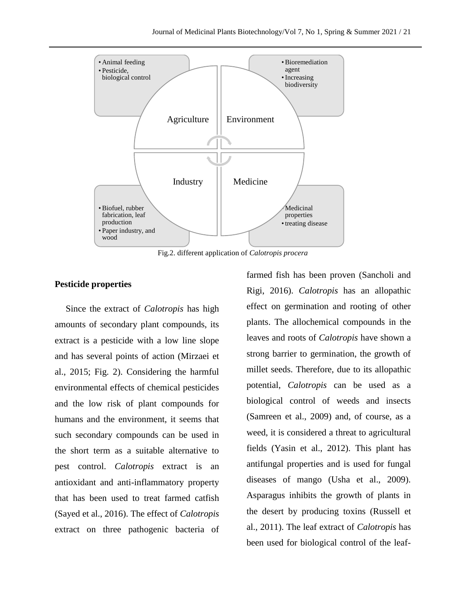

Fig.2. different application of *Calotropis procera*

### **Pesticide properties**

Since the extract of *Calotropis* has high amounts of secondary plant compounds, its extract is a pesticide with a low line slope and has several points of action (Mirzaei et al., 2015; Fig. 2). Considering the harmful environmental effects of chemical pesticides and the low risk of plant compounds for humans and the environment, it seems that such secondary compounds can be used in the short term as a suitable alternative to pest control. *Calotropis* extract is an antioxidant and anti-inflammatory property that has been used to treat farmed catfish (Sayed et al., 2016). The effect of *Calotropis*  extract on three pathogenic bacteria of

farmed fish has been proven (Sancholi and Rigi, 2016). *Calotropis* has an allopathic effect on germination and rooting of other plants. The allochemical compounds in the leaves and roots of *Calotropis* have shown a strong barrier to germination, the growth of millet seeds. Therefore, due to its allopathic potential, *Calotropis* can be used as a biological control of weeds and insects (Samreen et al., 2009) and, of course, as a weed, it is considered a threat to agricultural fields (Yasin et al., 2012). This plant has antifungal properties and is used for fungal diseases of mango (Usha et al., 2009). Asparagus inhibits the growth of plants in the desert by producing toxins (Russell et al., 2011). The leaf extract of *Calotropis* has been used for biological control of the leaf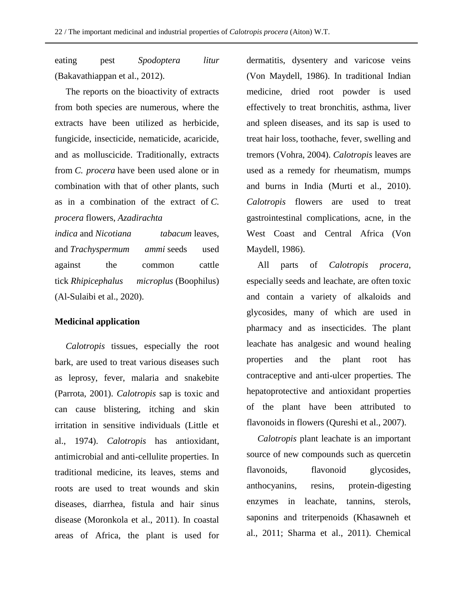eating pest *Spodoptera litur* (Bakavathiappan et al., 2012).

The reports on the bioactivity of extracts from both species are numerous, where the extracts have been utilized as herbicide, fungicide, insecticide, nematicide, acaricide, and as molluscicide. Traditionally, extracts from *C. procera* have been used alone or in combination with that of other plants, such as in a combination of the extract of *C. procera* flowers, *Azadirachta* 

*indica* and *Nicotiana tabacum* leaves, and *Trachyspermum ammi* seeds used against the common cattle tick *Rhipicephalus microplus* (Boophilus) (Al-Sulaibi et al., 2020).

### **Medicinal application**

*Calotropis* tissues, especially the root bark, are used to treat various diseases such as leprosy, fever, malaria and snakebite (Parrota, 2001). *Calotropis* sap is toxic and can cause blistering, itching and skin irritation in sensitive individuals (Little et al., 1974). *Calotropis* has antioxidant, antimicrobial and anti-cellulite properties. In traditional medicine, its leaves, stems and roots are used to treat wounds and skin diseases, diarrhea, fistula and hair sinus disease (Moronkola et al., 2011). In coastal areas of Africa, the plant is used for

dermatitis, dysentery and varicose veins (Von Maydell, 1986). In traditional Indian medicine, dried root powder is used effectively to treat bronchitis, asthma, liver and spleen diseases, and its sap is used to treat hair loss, toothache, fever, swelling and tremors (Vohra, 2004). *Calotropis* leaves are used as a remedy for rheumatism, mumps and burns in India (Murti et al., 2010). *Calotropis* flowers are used to treat gastrointestinal complications, acne, in the West Coast and Central Africa (Von Maydell, 1986).

All parts of *Calotropis procera*, especially seeds and leachate, are often toxic and contain a variety of alkaloids and glycosides, many of which are used in pharmacy and as insecticides. The plant leachate has analgesic and wound healing properties and the plant root has contraceptive and anti-ulcer properties. The hepatoprotective and antioxidant properties of the plant have been attributed to flavonoids in flowers (Qureshi et al., 2007).

*Calotropis* plant leachate is an important source of new compounds such as quercetin flavonoids, flavonoid glycosides, anthocyanins, resins, protein-digesting enzymes in leachate, tannins, sterols, saponins and triterpenoids (Khasawneh et al., 2011; Sharma et al., 2011). Chemical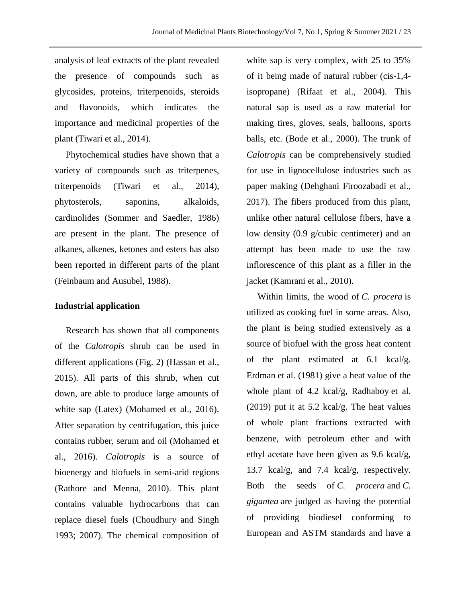analysis of leaf extracts of the plant revealed the presence of compounds such as glycosides, proteins, triterpenoids, steroids and flavonoids, which indicates the importance and medicinal properties of the plant (Tiwari et al., 2014).

Phytochemical studies have shown that a variety of compounds such as triterpenes, triterpenoids (Tiwari et al., 2014), phytosterols, saponins, alkaloids, cardinolides (Sommer and Saedler, 1986) are present in the plant. The presence of alkanes, alkenes, ketones and esters has also been reported in different parts of the plant (Feinbaum and Ausubel, 1988).

### **Industrial application**

Research has shown that all components of the *Calotropis* shrub can be used in different applications (Fig. 2) (Hassan et al., 2015). All parts of this shrub, when cut down, are able to produce large amounts of white sap (Latex) (Mohamed et al., 2016). After separation by centrifugation, this juice contains rubber, serum and oil (Mohamed et al., 2016). *Calotropis* is a source of bioenergy and biofuels in semi-arid regions (Rathore and Menna, 2010). This plant contains valuable hydrocarbons that can replace diesel fuels (Choudhury and Singh 1993; 2007). The chemical composition of

white sap is very complex, with 25 to 35% of it being made of natural rubber (cis-1,4 isopropane) (Rifaat et al., 2004). This natural sap is used as a raw material for making tires, gloves, seals, balloons, sports balls, etc. (Bode et al., 2000). The trunk of *Calotropis* can be comprehensively studied for use in lignocellulose industries such as paper making (Dehghani Firoozabadi et al., 2017). The fibers produced from this plant, unlike other natural cellulose fibers, have a low density (0.9 g/cubic centimeter) and an attempt has been made to use the raw inflorescence of this plant as a filler in the jacket (Kamrani et al., 2010).

Within limits, the wood of *C. procera* is utilized as cooking fuel in some areas. Also, the plant is being studied extensively as a source of biofuel with the gross heat content of the plant estimated at 6.1 kcal/g. Erdman et al. (1981) give a heat value of the whole plant of 4.2 kcal/g, Radhaboy et al. (2019) put it at 5.2 kcal/g. The heat values of whole plant fractions extracted with benzene, with petroleum ether and with ethyl acetate have been given as 9.6 kcal/g, 13.7 kcal/g, and 7.4 kcal/g, respectively. Both the seeds of *C. procera* and *C. gigantea* are judged as having the potential of providing biodiesel conforming to European and ASTM standards and have a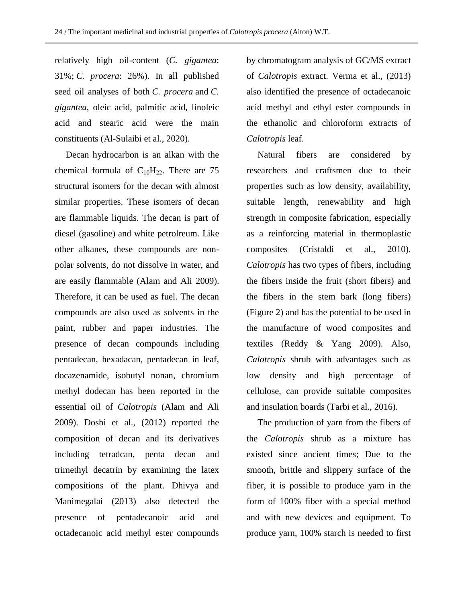relatively high oil-content (*C. gigantea*: 31%; *C. procera*: 26%). In all published seed oil analyses of both *C. procera* and *C. gigantea*, oleic acid, palmitic acid, linoleic acid and stearic acid were the main constituents (Al-Sulaibi et al., 2020).

Decan hydrocarbon is an alkan with the chemical formula of  $C_{10}H_{22}$ . There are 75 structural isomers for the decan with almost similar properties. These isomers of decan are flammable liquids. The decan is part of diesel (gasoline) and white petrolreum. Like other alkanes, these compounds are nonpolar solvents, do not dissolve in water, and are easily flammable (Alam and Ali 2009). Therefore, it can be used as fuel. The decan compounds are also used as solvents in the paint, rubber and paper industries. The presence of decan compounds including pentadecan, hexadacan, pentadecan in leaf, docazenamide, isobutyl nonan, chromium methyl dodecan has been reported in the essential oil of *Calotropis* (Alam and Ali 2009). Doshi et al., (2012) reported the composition of decan and its derivatives including tetradcan, penta decan and trimethyl decatrin by examining the latex compositions of the plant. Dhivya and Manimegalai (2013) also detected the presence of pentadecanoic acid and octadecanoic acid methyl ester compounds

by chromatogram analysis of GC/MS extract of *Calotropis* extract. Verma et al., (2013) also identified the presence of octadecanoic acid methyl and ethyl ester compounds in the ethanolic and chloroform extracts of *Calotropis* leaf.

Natural fibers are considered by researchers and craftsmen due to their properties such as low density, availability, suitable length, renewability and high strength in composite fabrication, especially as a reinforcing material in thermoplastic composites (Cristaldi et al., 2010). *Calotropis* has two types of fibers, including the fibers inside the fruit (short fibers) and the fibers in the stem bark (long fibers) (Figure 2) and has the potential to be used in the manufacture of wood composites and textiles (Reddy & Yang 2009). Also, *Calotropis* shrub with advantages such as low density and high percentage of cellulose, can provide suitable composites and insulation boards (Tarbi et al., 2016).

The production of yarn from the fibers of the *Calotropis* shrub as a mixture has existed since ancient times; Due to the smooth, brittle and slippery surface of the fiber, it is possible to produce yarn in the form of 100% fiber with a special method and with new devices and equipment. To produce yarn, 100% starch is needed to first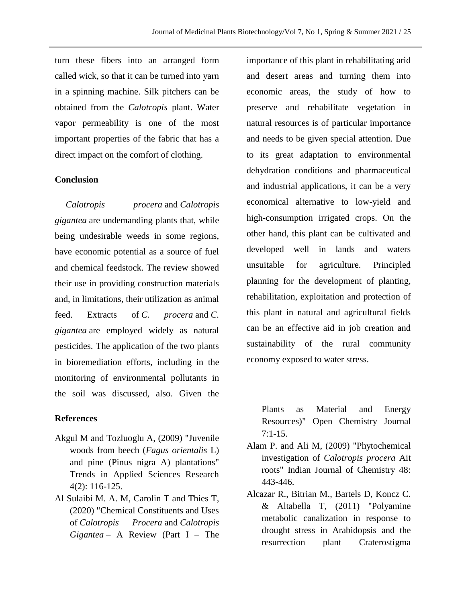turn these fibers into an arranged form called wick, so that it can be turned into yarn in a spinning machine. Silk pitchers can be obtained from the *Calotropis* plant. Water vapor permeability is one of the most important properties of the fabric that has a direct impact on the comfort of clothing.

### **Conclusion**

*Calotropis procera* and *Calotropis gigantea* are undemanding plants that, while being undesirable weeds in some regions, have economic potential as a source of fuel and chemical feedstock. The review showed their use in providing construction materials and, in limitations, their utilization as animal feed. Extracts of *C. procera* and *C. gigantea* are employed widely as natural pesticides. The application of the two plants in bioremediation efforts, including in the monitoring of environmental pollutants in the soil was discussed, also. Given the

### **References**

- Akgul M and Tozluoglu A, (2009) "Juvenile woods from beech (*Fagus orientalis* L) and pine (Pinus nigra A) plantations" Trends in Applied Sciences Research 4(2): 116-125.
- Al Sulaibi M. A. M, Carolin T and Thies T, (2020) "Chemical Constituents and Uses of *Calotropis Procera* and *Calotropis Gigantea* – A Review (Part I – The

importance of this plant in rehabilitating arid and desert areas and turning them into economic areas, the study of how to preserve and rehabilitate vegetation in natural resources is of particular importance and needs to be given special attention. Due to its great adaptation to environmental dehydration conditions and pharmaceutical and industrial applications, it can be a very economical alternative to low-yield and high-consumption irrigated crops. On the other hand, this plant can be cultivated and developed well in lands and waters unsuitable for agriculture. Principled planning for the development of planting, rehabilitation, exploitation and protection of this plant in natural and agricultural fields can be an effective aid in job creation and sustainability of the rural community economy exposed to water stress.

Plants as Material and Energy Resources)" Open Chemistry Journal  $7:1-15.$ 

- Alam P. and Ali M, (2009) "Phytochemical investigation of *Calotropis procera* Ait roots" Indian Journal of Chemistry 48: 443-446.
- Alcazar R., Bitrian M., Bartels D, Koncz C. & Altabella T, (2011) "Polyamine metabolic canalization in response to drought stress in Arabidopsis and the resurrection plant Craterostigma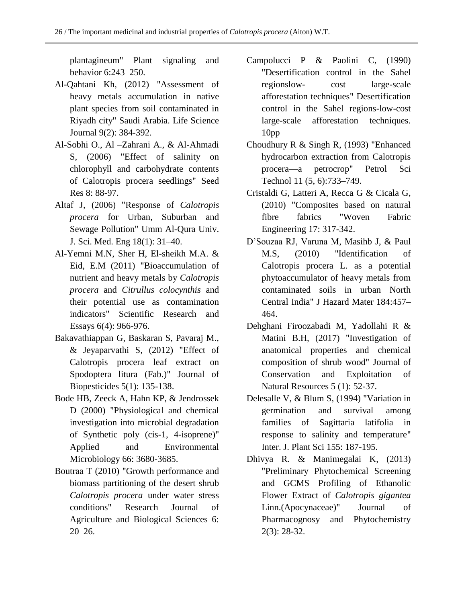plantagineum" Plant signaling and behavior 6:243–250.

- Al-Qahtani Kh, (2012) "Assessment of heavy metals accumulation in native plant species from soil contaminated in Riyadh city" Saudi Arabia. Life Science Journal 9(2): 384-392.
- Al-Sobhi O., Al –Zahrani A., & Al-Ahmadi S, (2006) "Effect of salinity on chlorophyll and carbohydrate contents of Calotropis procera seedlings" Seed Res 8: 88-97.
- Altaf J, (2006) "Response of *Calotropis procera* for Urban, Suburban and Sewage Pollution" Umm Al-Qura Univ. J. Sci. Med. Eng 18(1): 31–40.
- Al-Yemni M.N, Sher H, El-sheikh M.A. & Eid, E.M (2011) "Bioaccumulation of nutrient and heavy metals by *Calotropis procera* and *Citrullus colocynthis* and their potential use as contamination indicators" Scientific Research and Essays 6(4): 966-976.
- Bakavathiappan G, Baskaran S, Pavaraj M., & Jeyaparvathi S, (2012) "Effect of Calotropis procera leaf extract on Spodoptera litura (Fab.)" Journal of Biopesticides 5(1): 135-138.
- Bode HB, Zeeck A, Hahn KP, & Jendrossek D (2000) "Physiological and chemical investigation into microbial degradation of Synthetic poly (cis-1, 4-isoprene)" Applied and Environmental Microbiology 66: 3680-3685.
- Boutraa T (2010) "Growth performance and biomass partitioning of the desert shrub *Calotropis procera* under water stress conditions" Research Journal of Agriculture and Biological Sciences 6: 20–26.
- Campolucci P & Paolini C, (1990) "Desertification control in the Sahel regionslow- cost large-scale afforestation techniques" Desertification control in the Sahel regions-low-cost large-scale afforestation techniques. 10pp
- Choudhury R & Singh R, (1993) "Enhanced hydrocarbon extraction from Calotropis procera—a petrocrop" Petrol Sci Technol 11 (5, 6):733–749.
- Cristaldi G, Latteri A, Recca G & Cicala G, (2010) "Composites based on natural fibre fabrics "Woven Fabric Engineering 17: 317-342.
- D'Souzaa RJ, Varuna M, Masihb J, & Paul M.S, (2010) "Identification of Calotropis procera L. as a potential phytoaccumulator of heavy metals from contaminated soils in urban North Central India" J Hazard Mater 184:457– 464.
- Dehghani Firoozabadi M, Yadollahi R & Matini B.H, (2017) "Investigation of anatomical properties and chemical composition of shrub wood" Journal of Conservation and Exploitation of Natural Resources 5 (1): 52-37.
- Delesalle V, & Blum S, (1994) "Variation in germination and survival among families of Sagittaria latifolia in response to salinity and temperature" Inter. J. Plant Sci 155: 187-195.
- Dhivya R. & Manimegalai K, (2013) "Preliminary Phytochemical Screening and GCMS Profiling of Ethanolic Flower Extract of *Calotropis gigantea*  Linn.(Apocynaceae)" Journal of Pharmacognosy and Phytochemistry 2(3): 28-32.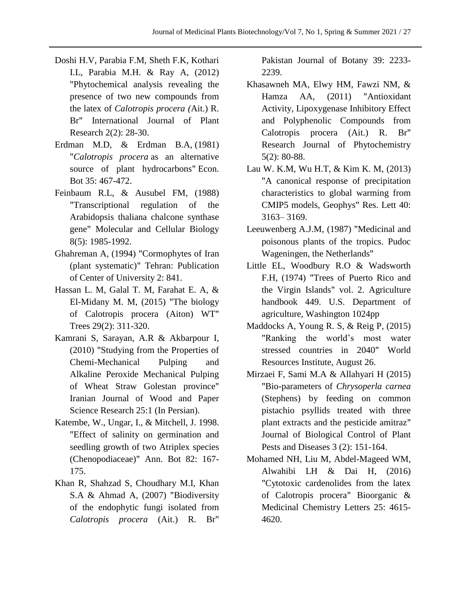- Doshi H.V, Parabia F.M, Sheth F.K, Kothari I.L, Parabia M.H. & Ray A, (2012) "Phytochemical analysis revealing the presence of two new compounds from the latex of *Calotropis procera (*Ait.) R. Br" International Journal of Plant Research 2(2): 28-30.
- Erdman M.D, & Erdman B.A, (1981) "*Calotropis procera* as an alternative source of plant hydrocarbons" Econ. Bot 35: 467-472.
- Feinbaum R.L, & Ausubel FM, (1988) "Transcriptional regulation of the Arabidopsis thaliana chalcone synthase gene" Molecular and Cellular Biology 8(5): 1985-1992.
- Ghahreman A, (1994) "Cormophytes of Iran (plant systematic)" Tehran: Publication of Center of University 2: 841.
- Hassan L. M, Galal T. M, Farahat E. A, & El-Midany M. M, (2015) "The biology of Calotropis procera (Aiton) WT" Trees 29(2): 311-320.
- Kamrani S, Sarayan, A.R & Akbarpour I, (2010) "Studying from the Properties of Chemi-Mechanical Pulping and Alkaline Peroxide Mechanical Pulping of Wheat Straw Golestan province" Iranian Journal of Wood and Paper Science Research 25:1 (In Persian).
- Katembe, W., Ungar, I., & Mitchell, J. 1998. "Effect of salinity on germination and seedling growth of two Atriplex species (Chenopodiaceae)" Ann. Bot 82: 167- 175.
- Khan R, Shahzad S, Choudhary M.I, Khan S.A & Ahmad A, (2007) "Biodiversity of the endophytic fungi isolated from *Calotropis procera* (Ait.) R. Br"

Pakistan Journal of Botany 39: 2233- 2239.

- Khasawneh MA, Elwy HM, Fawzi NM, & Hamza AA, (2011) "Antioxidant Activity, Lipoxygenase Inhibitory Effect and Polyphenolic Compounds from Calotropis procera (Ait.) R. Br" Research Journal of Phytochemistry 5(2): 80-88.
- Lau W. K.M, Wu H.T, & Kim K. M, (2013) "A canonical response of precipitation characteristics to global warming from CMIP5 models, Geophys" Res. Lett 40: 3163– 3169.
- Leeuwenberg A.J.M, (1987) "Medicinal and poisonous plants of the tropics. Pudoc Wageningen, the Netherlands"
- Little EL, Woodbury R.O & Wadsworth F.H, (1974) "Trees of Puerto Rico and the Virgin Islands" vol. 2. Agriculture handbook 449. U.S. Department of agriculture, Washington 1024pp
- Maddocks A, Young R. S, & Reig P, (2015) "Ranking the world's most water stressed countries in 2040" World Resources Institute, August 26.
- Mirzaei F, Sami M.A & Allahyari H (2015) "Bio-parameters of *Chrysoperla carnea* (Stephens) by feeding on common pistachio psyllids treated with three plant extracts and the pesticide amitraz" Journal of Biological Control of Plant Pests and Diseases 3 (2): 151-164.
- Mohamed NH, Liu M, Abdel-Mageed WM, Alwahibi LH & Dai H, (2016) "Cytotoxic cardenolides from the latex of Calotropis procera" Bioorganic & Medicinal Chemistry Letters 25: 4615- 4620.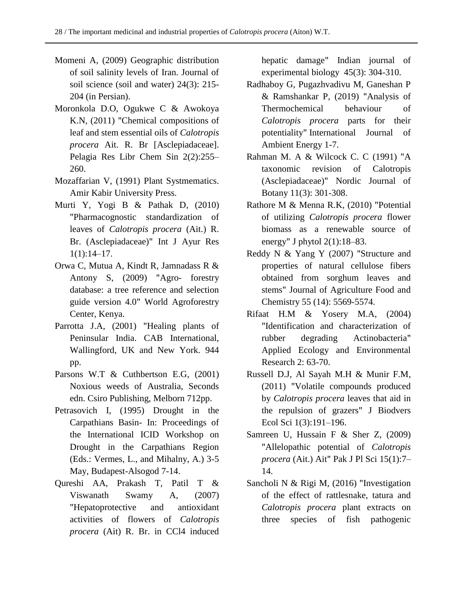- Momeni A, (2009) Geographic distribution of soil salinity levels of Iran. Journal of soil science (soil and water) 24(3): 215- 204 (in Persian).
- Moronkola D.O, Ogukwe C & Awokoya K.N, (2011) "Chemical compositions of leaf and stem essential oils of *Calotropis procera* Ait. R. Br [Asclepiadaceae]. Pelagia Res Libr Chem Sin 2(2):255– 260.
- Mozaffarian V, (1991) Plant Systmematics. Amir Kabir University Press.
- Murti Y, Yogi B & Pathak D, (2010) "Pharmacognostic standardization of leaves of *Calotropis procera* (Ait.) R. Br. (Asclepiadaceae)" Int J Ayur Res  $1(1):14-17.$
- Orwa C, Mutua A, Kindt R, Jamnadass R & Antony S, (2009) "Agro- forestry database: a tree reference and selection guide version 4.0" World Agroforestry Center, Kenya.
- Parrotta J.A, (2001) "Healing plants of Peninsular India. CAB International, Wallingford, UK and New York. 944 pp.
- Parsons W.T & Cuthbertson E.G, (2001) Noxious weeds of Australia, Seconds edn. Csiro Publishing, Melborn 712pp.
- Petrasovich I, (1995) Drought in the Carpathians Basin- In: Proceedings of the International ICID Workshop on Drought in the Carpathians Region (Eds.: Vermes, L., and Mihalny, A.) 3-5 May, Budapest-Alsogod 7-14.
- Qureshi AA, Prakash T, Patil T & Viswanath Swamy A, (2007) "Hepatoprotective and antioxidant activities of flowers of *Calotropis procera* (Ait) R. Br. in CCl4 induced

hepatic damage" Indian journal of experimental biology 45(3): 304-310.

- Radhaboy G, Pugazhvadivu M, Ganeshan P & Ramshankar P, (2019) "Analysis of Thermochemical behaviour of *Calotropis procera* parts for their potentiality" International Journal of Ambient Energy 1-7.
- Rahman M. A & Wilcock C. C (1991) "A taxonomic revision of Calotropis (Asclepiadaceae)" Nordic Journal of Botany 11(3): 301-308.
- Rathore M & Menna R.K, (2010) "Potential of utilizing *Calotropis procera* flower biomass as a renewable source of energy" J phytol 2(1):18–83.
- Reddy N & Yang Y (2007) "Structure and properties of natural cellulose fibers obtained from sorghum leaves and stems" Journal of Agriculture Food and Chemistry 55 (14): 5569-5574.
- Rifaat H.M & Yosery M.A, (2004) "Identification and characterization of rubber degrading Actinobacteria" Applied Ecology and Environmental Research 2: 63-70.
- Russell D.J, Al Sayah M.H & Munir F.M, (2011) "Volatile compounds produced by *Calotropis procera* leaves that aid in the repulsion of grazers" J Biodvers Ecol Sci 1(3):191–196.
- Samreen U, Hussain F & Sher Z, (2009) "Allelopathic potential of *Calotropis procera* (Ait.) Ait" Pak J Pl Sci 15(1):7– 14.
- Sancholi N & Rigi M, (2016) "Investigation of the effect of rattlesnake, tatura and *Calotropis procera* plant extracts on three species of fish pathogenic